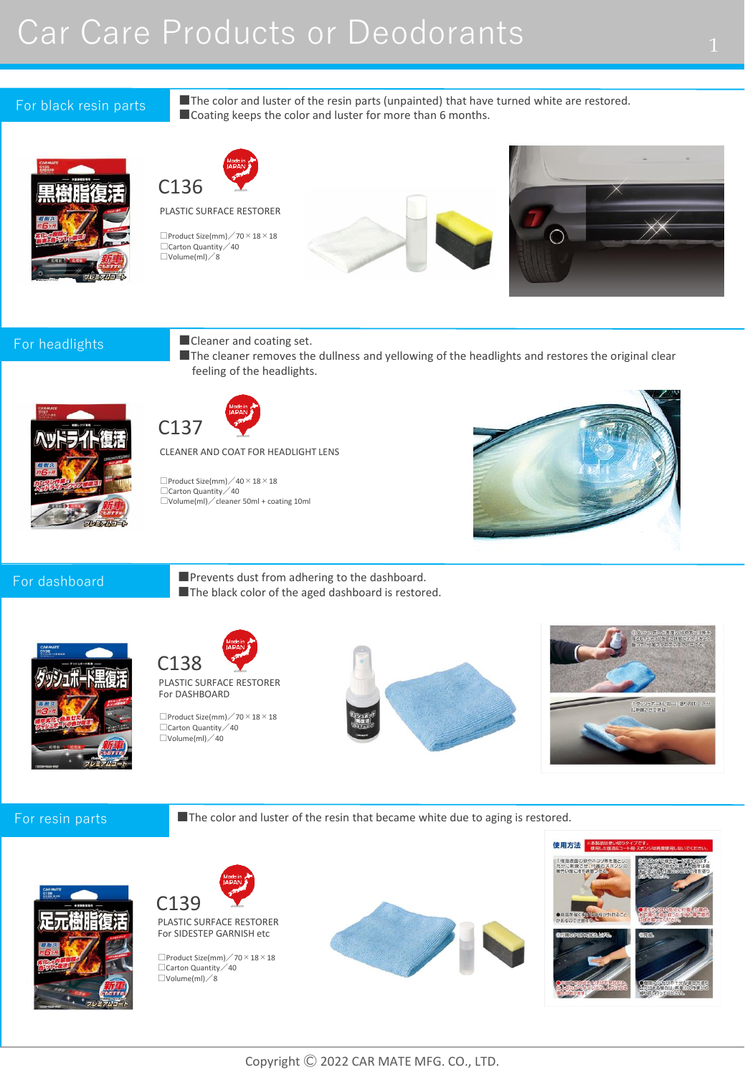# Car Care Products or Deodorants 1

### For black resin parts

■The color and luster of the resin parts (unpainted) that have turned white are restored. ■Coating keeps the color and luster for more than 6 months.







### For headlights

■Cleaner and coating set.

■The cleaner removes the dullness and yellowing of the headlights and restores the original clear feeling of the headlights.





CLEANER AND COAT FOR HEADLIGHT LENS

 $\square$ Product Size(mm) / 40 × 18 × 18 □Carton Quantity / 40 □Volume(ml)/cleaner 50ml + coating 10ml



### For dashboard

■Prevents dust from adhering to the dashboard. ■The black color of the aged dashboard is restored.





PLASTIC SURFACE RESTORER For DASHBOARD

□Carton Quantity / 40  $\square$ Volume(ml) / 40  $\Box$ Product Size(mm)  $\diagup$  70  $\times$  18  $\times$  18





### For resin parts

■The color and luster of the resin that became white due to aging is restored.





For SIDESTEP GARNISH etc

 $\Box$ Product Size(mm)  $\diagup$  70  $\times$  18  $\times$  18 □Carton Quantity / 40 □Volume(ml)/8



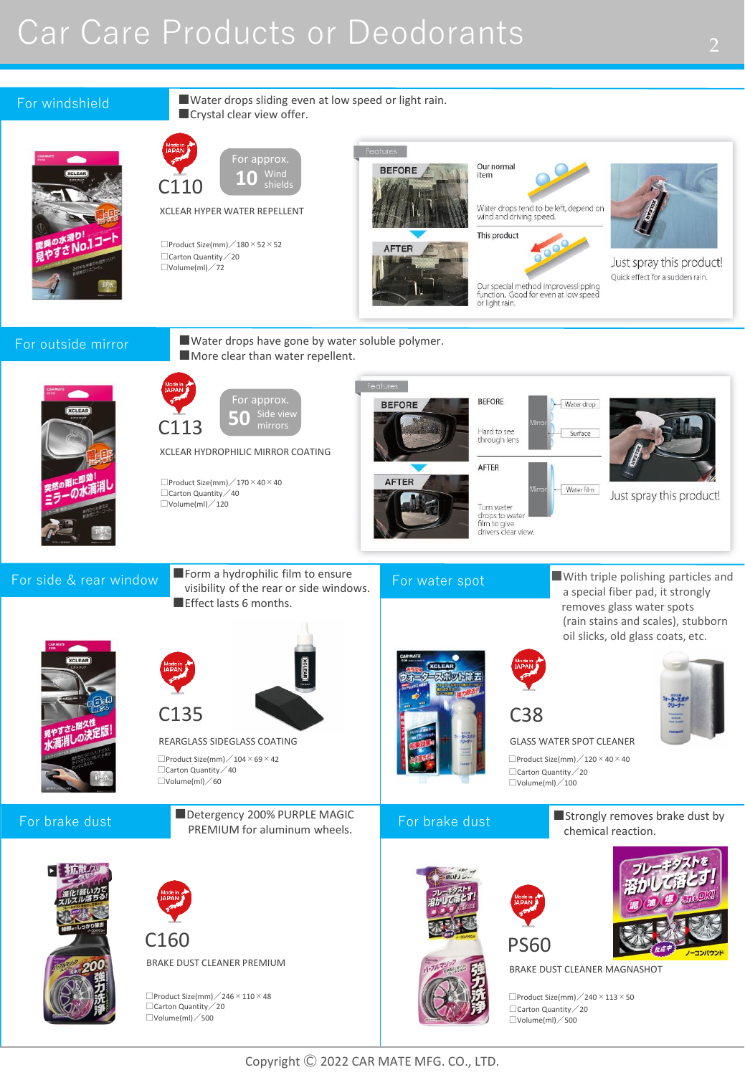# Car Care Products or Deodorants 2008

### For windshield

■Crystal clear view offer. For approx.  $10$  <sup>Wind</sup>

C110 XCLEAR HYPER WATER REPELLENT

 $\Box$ Product Size(mm)  $\angle$  180  $\times$  52  $\times$  52 □Carton Quantity / 20  $\square$ Volume(ml) / 72

**BEFORE** AFTER

Our normal item

Water drops tend to be left, depend on<br>wind and driving speed.

This product

Our special method improvesslipping<br>function. Good for even at low speed or light rain.



Just spray this product! Quick effect for a sudden rain.

## For outside mirror

■Water drops have gone by water soluble polymer. ■ More clear than water repellent.

■Water drops sliding even at low speed or light rain.